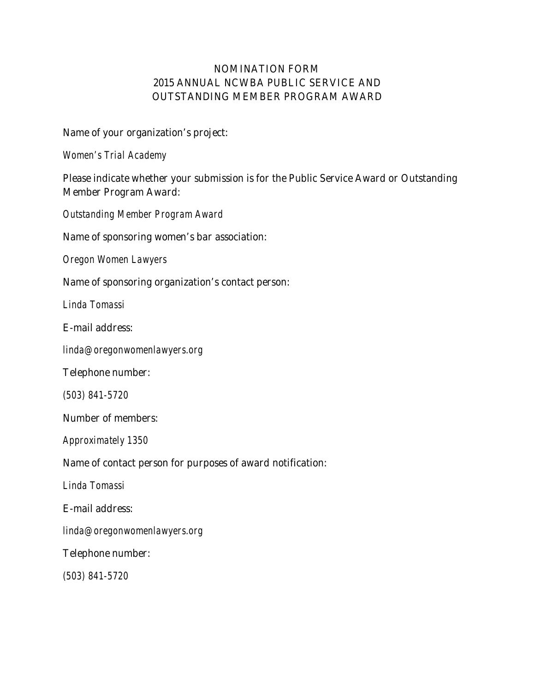# **NOMINATION FORM 2015 ANNUAL NCWBA PUBLIC SERVICE AND OUTSTANDING MEMBER PROGRAM AWARD**

#### **Name of your organization's project:**

*Women's Trial Academy*

## **Please indicate whether your submission is for the Public Service Award or Outstanding Member Program Award:**

*Outstanding Member Program Award*

#### **Name of sponsoring women's bar association:**

*Oregon Women Lawyers*

#### **Name of sponsoring organization's contact person:**

*Linda Tomassi*

#### **E-mail address:**

*[linda@oregonwomenlawyers.org](mailto:linda@oregonwomenlawyers.org)*

#### **Telephone number:**

*(503) 841-5720*

#### **Number of members:**

*Approximately 1350*

### **Name of contact person for purposes of award notification:**

*Linda Tomassi*

#### **E-mail address:**

*[linda@oregonwomenlawyers.org](mailto:linda@oregonwomenlawyers.org)*

#### **Telephone number:**

*(503) 841-5720*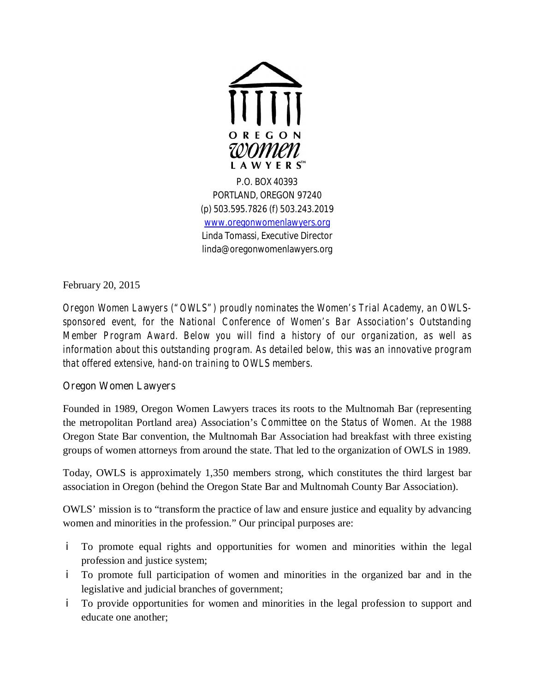

PORTLAND, OREGON 97240 (p) 503.595.7826 (f) 503.243.2019 <www.oregonwomenlawyers.org> Linda Tomassi, Executive Director [linda@oregonwomenlawyers.org](mailto:linda@oregonwomenlawyers.org)

February 20, 2015

*Oregon Women Lawyers ("OWLS") proudly nominates the Women's Trial Academy, an OWLSsponsored event, for the National Conference of Women's Bar Association's Outstanding Member Program Award. Below you will find a history of our organization, as well as information about this outstanding program. As detailed below, this was an innovative program that offered extensive, hand-on training to OWLS members.*

# **Oregon Women Lawyers**

Founded in 1989, Oregon Women Lawyers traces its roots to the Multnomah Bar (representing the metropolitan Portland area) Association's *Committee on the Status of Women.* At the 1988 Oregon State Bar convention, the Multnomah Bar Association had breakfast with three existing groups of women attorneys from around the state. That led to the organization of OWLS in 1989.

Today, OWLS is approximately 1,350 members strong, which constitutes the third largest bar association in Oregon (behind the Oregon State Bar and Multnomah County Bar Association).

OWLS'mission is to "transform the practice of law and ensure justice and equality by advancing women and minorities in the profession." Our principal purposes are:

- i. To promote equal rights and opportunities for women and minorities within the legal profession and justice system;
- To promote full participation of women and minorities in the organized bar and in the legislative and judicial branches of government;
- i. To provide opportunities for women and minorities in the legal profession to support and educate one another;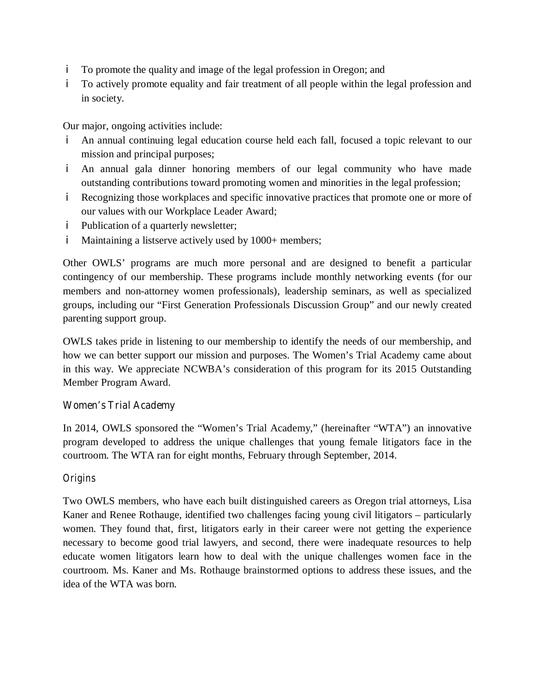- To promote the quality and image of the legal profession in Oregon; and i.
- To actively promote equality and fair treatment of all people within the legal profession and in society.

Our major, ongoing activities include:

- An annual continuing legal education course held each fall, focused a topic relevant to our i. mission and principal purposes;
- An annual gala dinner honoring members of our legal community who have made outstanding contributions toward promoting women and minorities in the legal profession;
- Recognizing those workplaces and specific innovative practices that promote one or more of our values with our Workplace Leader Award;
- i Publication of a quarterly newsletter;
- i. Maintaining a listserve actively used by 1000+ members;

Other OWLS' programs are much more personal and are designed to benefit a particular contingency of our membership. These programs include monthly networking events (for our members and non-attorney women professionals), leadership seminars, as well as specialized groups, including our "First Generation Professionals Discussion Group"and our newly created parenting support group.

OWLS takes pride in listening to our membership to identify the needs of our membership, and how we can better support our mission and purposes. The Women's Trial Academy came about in this way. We appreciate NCWBA's consideration of this program for its 2015 Outstanding Member Program Award.

### **Women's Trial Academy**

In 2014, OWLS sponsored the "Women's Trial Academy,"(hereinafter "WTA") an innovative program developed to address the unique challenges that young female litigators face in the courtroom. The WTA ran for eight months, February through September, 2014.

### *Origins*

Two OWLS members, who have each built distinguished careers as Oregon trial attorneys, Lisa Kaner and Renee Rothauge, identified two challenges facing young civil litigators – particularly women. They found that, first, litigators early in their career were not getting the experience necessary to become good trial lawyers, and second, there were inadequate resources to help educate women litigators learn how to deal with the unique challenges women face in the courtroom. Ms. Kaner and Ms. Rothauge brainstormed options to address these issues, and the idea of the WTA was born.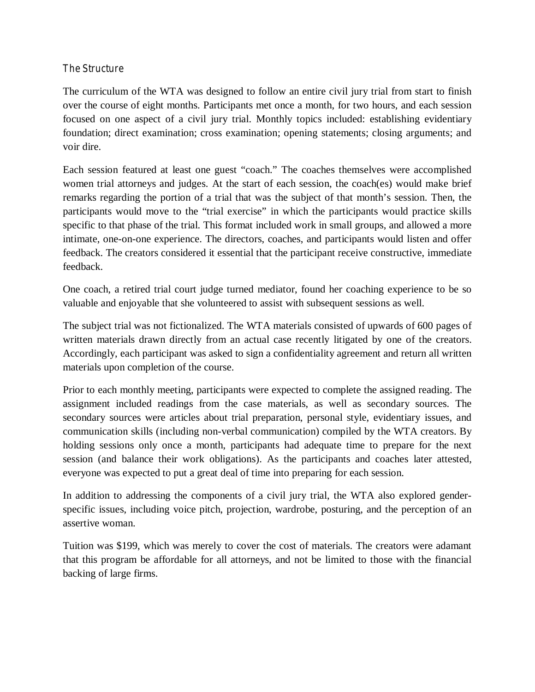### *The Structure*

The curriculum of the WTA was designed to follow an entire civil jury trial from start to finish over the course of eight months. Participants met once a month, for two hours, and each session focused on one aspect of a civil jury trial. Monthly topics included: establishing evidentiary foundation; direct examination; cross examination; opening statements; closing arguments; and voir dire.

Each session featured at least one guest "coach."The coaches themselves were accomplished women trial attorneys and judges. At the start of each session, the coach(es) would make brief remarks regarding the portion of a trial that was the subject of that month's session. Then, the participants would move to the "trial exercise" in which the participants would practice skills specific to that phase of the trial. This format included work in small groups, and allowed a more intimate, one-on-one experience. The directors, coaches, and participants would listen and offer feedback. The creators considered it essential that the participant receive constructive, immediate feedback.

One coach, a retired trial court judge turned mediator, found her coaching experience to be so valuable and enjoyable that she volunteered to assist with subsequent sessions as well.

The subject trial was not fictionalized. The WTA materials consisted of upwards of 600 pages of written materials drawn directly from an actual case recently litigated by one of the creators. Accordingly, each participant was asked to sign a confidentiality agreement and return all written materials upon completion of the course.

Prior to each monthly meeting, participants were expected to complete the assigned reading. The assignment included readings from the case materials, as well as secondary sources. The secondary sources were articles about trial preparation, personal style, evidentiary issues, and communication skills (including non-verbal communication) compiled by the WTA creators. By holding sessions only once a month, participants had adequate time to prepare for the next session (and balance their work obligations). As the participants and coaches later attested, everyone was expected to put a great deal of time into preparing for each session.

In addition to addressing the components of a civil jury trial, the WTA also explored genderspecific issues, including voice pitch, projection, wardrobe, posturing, and the perception of an assertive woman.

Tuition was \$199, which was merely to cover the cost of materials. The creators were adamant that this program be affordable for all attorneys, and not be limited to those with the financial backing of large firms.